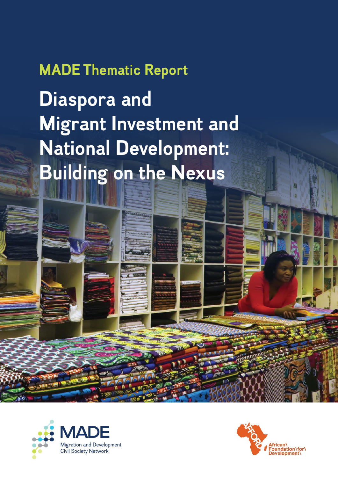### **MADE Thematic Report**

**Diaspora and Migrant Investment and National Development: Building on the Nexus**



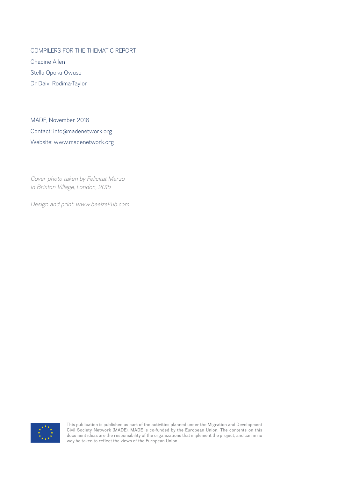COMPILERS FOR THE THEMATIC REPORT:

Chadine Allen Stella Opoku-Owusu Dr Daivi Rodima-Taylor

MADE, November 2016 Contact: info@madenetwork.org Website: www.madenetwork.org

*Cover photo taken by Felicitat Marzo in Brixton Village, London, 2015*

*Design and print: www.beelzePub.com*



This publication is published as part of the activities planned under the Migration and Development Civil Society Network (MADE). MADE is co-funded by the European Union. The contents on this document ideas are the responsibility of the organizations that implement the project, and can in no way be taken to reflect the views of the European Union.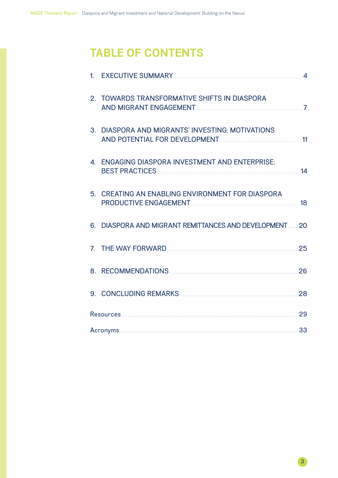### **TABLE OF CONTENTS**

|  | 1. EXECUTIVE SUMMARY CONTROLLER CONTROLLER SUMMARY                                                                                                                                                                                                                                      | $\overline{4}$ |
|--|-----------------------------------------------------------------------------------------------------------------------------------------------------------------------------------------------------------------------------------------------------------------------------------------|----------------|
|  | 2. TOWARDS TRANSFORMATIVE SHIFTS IN DIASPORA<br>AND MIGRANT ENGAGEMENT AND MIGRANT CONTROLLER AND MIGRANT ENGAGEMENT                                                                                                                                                                    | $\overline{7}$ |
|  | 3. DIASPORA AND MIGRANTS' INVESTING: MOTIVATIONS<br>AND POTENTIAL FOR DEVELOPMENT 11                                                                                                                                                                                                    |                |
|  | 4. ENGAGING DIASPORA INVESTMENT AND ENTERPRISE:<br>BEST PRACTICES <b>And Experiment Contract Contract Contract Contract Contract Contract Contract Contract Contract Contract Contract Contract Contract Contract Contract Contract Contract Contract Contract Contract Contract Co</b> | 14             |
|  | 5. CREATING AN ENABLING ENVIRONMENT FOR DIASPORA<br>PRODUCTIVE ENGAGEMENT NAMEL AND RESERVE THE RESERVE TO A REPORT OF THE RESERVE THE RESERVE TO A REPORT OF THE                                                                                                                       | 18             |
|  | 6. DIASPORA AND MIGRANT REMITTANCES AND DEVELOPMENT                                                                                                                                                                                                                                     | 20             |
|  | 7. THE WAY FORWARD <b>The Second State of the WAY FORWARD</b>                                                                                                                                                                                                                           | 25             |
|  | 8. RECOMMENDATIONS                                                                                                                                                                                                                                                                      | 26             |
|  | 9. CONCLUDING REMARKS                                                                                                                                                                                                                                                                   | 28             |
|  |                                                                                                                                                                                                                                                                                         | 29             |
|  |                                                                                                                                                                                                                                                                                         | 33             |

 $3<sup>°</sup>$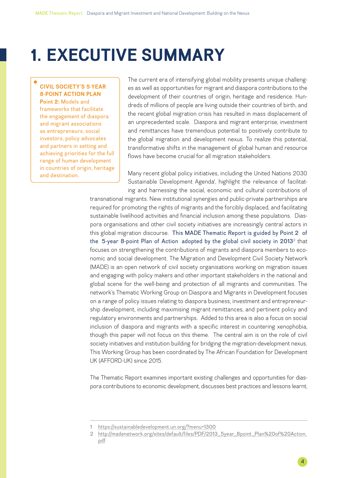## <span id="page-3-0"></span>**1. EXECUTIVE SUMMARY**

#### **CIVIL SOCIETY'S 5-YEAR 8-POINT ACTION PLAN**

**Point 2:** Models and frameworks that facilitate the engagement of diaspora and migrant associations as entrepreneurs, social investors, policy advocates and partners in setting and achieving priorities for the full range of human development in countries of origin, heritage and destination.

The current era of intensifying global mobility presents unique challenges as well as opportunities for migrant and diaspora contributions to the development of their countries of origin, heritage and residence. Hundreds of millions of people are living outside their countries of birth, and the recent global migration crisis has resulted in mass displacement of an unprecedented scale. Diaspora and migrant enterprise, investment and remittances have tremendous potential to positively contribute to the global migration and development nexus. To realize this potential, transformative shifts in the management of global human and resource flows have become crucial for all migration stakeholders.

Many recent global policy initiatives, including the United Nations 2030 Sustainable Development Agenda<sup>1</sup>, highlight the relevance of facilitating and harnessing the social, economic and cultural contributions of

transnational migrants. New institutional synergies and public-private partnerships are required for promoting the rights of migrants and the forcibly displaced, and facilitating sustainable livelihood activities and financial inclusion among these populations. Diaspora organisations and other civil society initiatives are increasingly central actors in this global migration discourse. This MADE Thematic Report is guided by Point 2 of the [5-year 8-point Plan of Action](http://madenetwork.org/sites/default/files/PDF/2013_5year_8point_Plan%20of%20Action.pdf) adopted by the global civil society in 2013<sup>2</sup> that focuses on strengthening the contributions of migrants and diaspora members to economic and social development. The Migration and Development Civil Society Network (MADE) is an open network of civil society organisations working on migration issues and engaging with policy makers and other important stakeholders in the national and global scene for the well-being and protection of all migrants and communities. The network's Thematic Working Group on Diaspora and Migrants in Development focuses on a range of policy issues relating to diaspora business, investment and entrepreneurship development, including maximising migrant remittances, and pertinent policy and regulatory environments and partnerships. Added to this area is also a focus on social inclusion of diaspora and migrants with a specific interest in countering xenophobia, though this paper will not focus on this theme. The central aim is on the role of civil society initiatives and institution building for bridging the migration-development nexus. This Working Group has been coordinated by The African Foundation for Development UK (AFFORD-UK) since 2015.

The Thematic Report examines important existing challenges and opportunities for diaspora contributions to economic development, discusses best practices and lessons learnt,

<sup>1</sup> <https://sustainabledevelopment.un.org/?menu=1300>

<sup>2</sup> [http://madenetwork.org/sites/default/files/PDF/2013\\_5year\\_8point\\_Plan%20of%20Action.](http://madenetwork.org/sites/default/files/PDF/2013_5year_8point_Plan%20of%20Action.pdf) [pdf](http://madenetwork.org/sites/default/files/PDF/2013_5year_8point_Plan%20of%20Action.pdf)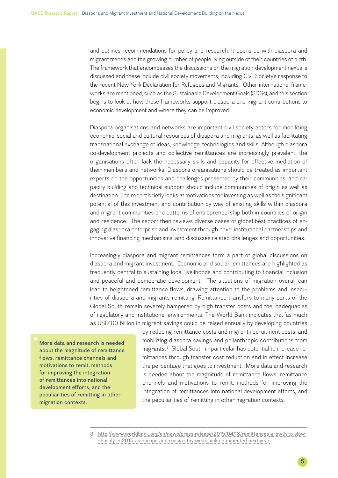and outlines recommendations for policy and research. It opens up with diaspora and migrant trends and the growing number of people living outside of their countries of birth. The framework that encompasses the discussions on the migration-development nexus is discussed and these include civil society movements, including Civil Society's response to the recent New York Declaration for Refugees and Migrants. Other international frameworks are mentioned, such as the Sustainable Development Goals (SDGs), and this section begins to look at how these frameworks support diaspora and migrant contributions to economic development and where they can be improved.

Diaspora organisations and networks are important civil society actors for mobilizing economic, social and cultural resources of diaspora and migrants, as well as facilitating transnational exchange of ideas, knowledge, technologies and skills. Although diaspora co-development projects and collective remittances are increasingly prevalent, the organisations often lack the necessary skills and capacity for effective mediation of their members and networks. Diaspora organisations should be treated as important experts on the opportunities and challenges presented by their communities, and capacity building and technical support should include communities of origin as well as destination. The report briefly looks at motivations for investing as well as the significant potential of this investment and contribution by way of existing skills within diaspora and migrant communities and patterns of entrepreneurship both in countries of origin and residence. The report then reviews diverse cases of global best practices of engaging diaspora enterprise and investment through novel institutional partnerships and innovative financing mechanisms, and discusses related challenges and opportunities.

Increasingly diaspora and migrant remittances form a part of global discussions on diaspora and migrant investment. Economic and social remittances are highlighted as frequently central to sustaining local livelihoods and contributing to financial inclusion and peaceful and democratic development. The situations of migration overall can lead to heightened remittance flows, drawing attention to the problems and insecurities of diaspora and migrants remitting. Remittance transfers to many parts of the Global South remain severely hampered by high transfer costs and the inadequacies of regulatory and institutional environments. The World Bank indicates that 'as much as USD100 billion in migrant savings could be raised annually by developing countries

More data and research is needed about the magnitude of remittance flows, remittance channels and motivations to remit, methods for improving the integration of remittances into national development efforts, and the peculiarities of remitting in other migration contexts.

by reducing remittance costs and migrant recruitment costs, and mobilizing diaspora savings and philanthropic contributions from migrants'.3 Global South in particular has potential to increase remittances through transfer cost reduction and in effect increase the percentage that goes to investment. More data and research is needed about the magnitude of remittance flows, remittance channels and motivations to remit, methods for improving the integration of remittances into national development efforts, and the peculiarities of remitting in other migration contexts.

<sup>3</sup> [http://www.worldbank.org/en/news/press-release/2015/04/13/remittances-growth-to-slow](http://www.worldbank.org/en/news/press-release/2015/04/13/remittances-growth-to-slow-sharply-in-2015-as-europe-and-russia-stay-weak-pick-up-expected-next-year)[sharply-in-2015-as-europe-and-russia-stay-weak-pick-up-expected-next-year](http://www.worldbank.org/en/news/press-release/2015/04/13/remittances-growth-to-slow-sharply-in-2015-as-europe-and-russia-stay-weak-pick-up-expected-next-year)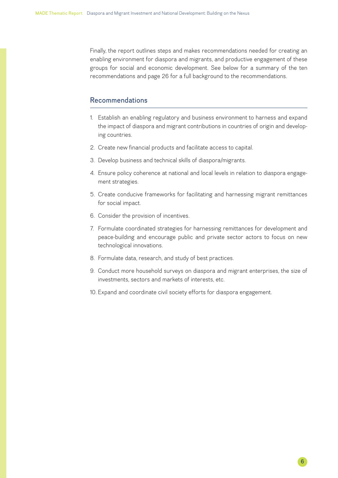Finally, the report outlines steps and makes recommendations needed for creating an enabling environment for diaspora and migrants, and productive engagement of these groups for social and economic development. See below for a summary of the ten recommendations and page 26 for a full background to the recommendations.

#### Recommendations

- 1. Establish an enabling regulatory and business environment to harness and expand the impact of diaspora and migrant contributions in countries of origin and developing countries.
- 2. Create new financial products and facilitate access to capital.
- 3. Develop business and technical skills of diaspora/migrants.
- 4. Ensure policy coherence at national and local levels in relation to diaspora engagement strategies.
- 5. Create conducive frameworks for facilitating and harnessing migrant remittances for social impact.
- 6. Consider the provision of incentives.
- 7. Formulate coordinated strategies for harnessing remittances for development and peace-building and encourage public and private sector actors to focus on new technological innovations.
- 8. Formulate data, research, and study of best practices.
- 9. Conduct more household surveys on diaspora and migrant enterprises, the size of investments, sectors and markets of interests, etc.
- 10. Expand and coordinate civil society efforts for diaspora engagement.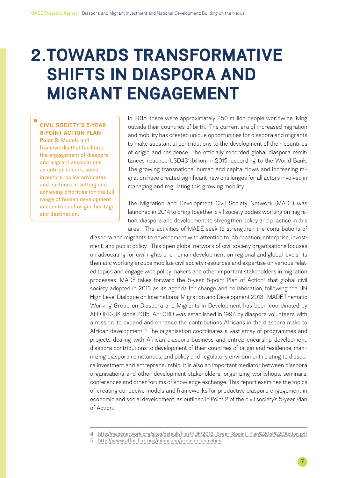# <span id="page-6-0"></span>**2.TOWARDS TRANSFORMATIVE SHIFTS IN DIASPORA AND MIGRANT ENGAGEMENT**

**CIVIL SOCIETY'S 5-YEAR 8-POINT ACTION PLAN Point 2:** Models and frameworks that facilitate the engagement of diaspora and migrant associations as entrepreneurs, social investors, policy advocates and partners in setting and achieving priorities for the full range of human development

in countries of origin, heritage and destination.

In 2015, there were approximately 250 million people worldwide living outside their countries of birth. The current era of increased migration and mobility has created unique opportunities for diaspora and migrants to make substantial contributions to the development of their countries of origin and residence. The officially recorded global diaspora remittances reached USD431 billion in 2015, according to the World Bank. The growing transnational human and capital flows and increasing migration have created significant new challenges for all actors involved in managing and regulating this growing mobility.

The Migration and Development Civil Society Network (MADE) was launched in 2014 to bring together civil society bodies working on migration, diaspora and development to strengthen policy and practice in this area. The activities of MADE seek to strengthen the contributions of

diaspora and migrants to development with attention to job creation, enterprise, investment, and public policy. This open global network of civil society organisations focuses on advocating for civil rights and human development on regional and global levels. Its thematic working groups mobilize civil society resources and expertise on various related topics and engage with policy makers and other important stakeholders in migration processes. MADE takes forward the 5-year 8-point Plan of Action<sup>4</sup> that global civil society adopted in 2013 as its agenda for change and collaboration, following the UN High Level Dialogue on International Migration and Development 2013. MADE Thematic Working Group on Diaspora and Migrants in Development has been coordinated by AFFORD-UK since 2015. AFFORD was established in 1994 by diaspora volunteers with a mission 'to expand and enhance the contributions Africans in the diaspora make to African development.<sup>'5</sup> The organisation coordinates a vast array of programmes and projects dealing with African diaspora business and entrepreneurship development, diaspora contributions to development of their countries of origin and residence, maximizing diaspora remittances, and policy and regulatory environment relating to diaspora investment and entrepreneurship. It is also an important mediator between diaspora organisations and other development stakeholders, organizing workshops, seminars, conferences and other forums of knowledge exchange. This report examines the topics of creating conducive models and frameworks for productive diaspora engagement in economic and social development, as outlined in Point 2 of the civil society's 5-year Plan of Action.

<sup>4</sup> [http://madenetwork.org/sites/default/files/PDF/2013\\_5year\\_8point\\_Plan%20of%20Action.pdf](http://madenetwork.org/sites/default/files/PDF/2013_5year_8point_Plan%20of%20Action.pdf)

<sup>5</sup> <http://www.afford-uk.org/index.php/projects-activities>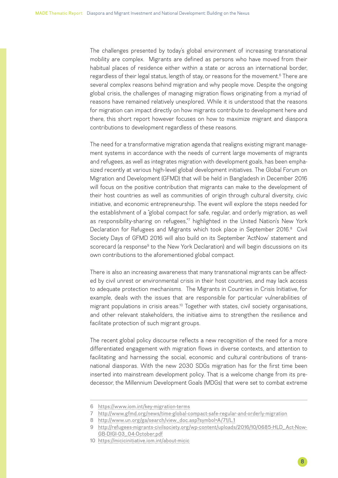The challenges presented by today's global environment of increasing transnational mobility are complex. Migrants are defined as persons who have moved from their habitual places of residence either within a state or across an international border, regardless of their legal status, length of stay, or reasons for the movement.<sup>6</sup> There are several complex reasons behind migration and why people move. Despite the ongoing global crisis, the challenges of managing migration flows originating from a myriad of reasons have remained relatively unexplored. While it is understood that the reasons for migration can impact directly on how migrants contribute to development here and there, this short report however focuses on how to maximize migrant and diaspora contributions to development regardless of these reasons.

The need for a transformative migration agenda that realigns existing migrant management systems in accordance with the needs of current large movements of migrants and refugees, as well as integrates migration with development goals, has been emphasized recently at various high-level global development initiatives. The Global Forum on Migration and Development (GFMD) that will be held in Bangladesh in December 2016 will focus on the positive contribution that migrants can make to the development of their host countries as well as communities of origin through cultural diversity, civic initiative, and economic entrepreneurship. The event will explore the steps needed for the establishment of a "global compact for safe, regular, and orderly migration, as well as responsibility-sharing on refugees,"7 highlighted in the United Nation's New York Declaration for Refugees and Migrants which took place in September 2016.<sup>8</sup> Civil Society Days of GFMD 2016 will also build on its September 'ActNow' statement and scorecard (a response<sup>9</sup> to the New York Declaration) and will begin discussions on its own contributions to the aforementioned global compact.

There is also an increasing awareness that many transnational migrants can be affected by civil unrest or environmental crisis in their host countries, and may lack access to adequate protection mechanisms. The Migrants in Countries in Crisis Initiative, for example, deals with the issues that are responsible for particular vulnerabilities of migrant populations in crisis areas.<sup>10</sup> Together with states, civil society organisations, and other relevant stakeholders, the initiative aims to strengthen the resilience and facilitate protection of such migrant groups.

The recent global policy discourse reflects a new recognition of the need for a more differentiated engagement with migration flows in diverse contexts, and attention to facilitating and harnessing the social, economic and cultural contributions of transnational diasporas. With the new 2030 SDGs migration has for the first time been inserted into mainstream development policy. That is a welcome change from its predecessor, the Millennium Development Goals (MDGs) that were set to combat extreme

<sup>6</sup> <https://www.iom.int/key-migration-terms>

<sup>7</sup> <http://www.gfmd.org/news/time-global-compact-safe-regular-and-orderly-migration>

<sup>8</sup> [http://www.un.org/ga/search/view\\_doc.asp?symbol=A/71/L.1](http://www.un.org/ga/search/view_doc.asp?symbol=A/71/L.1)

<sup>9</sup> [http://refugees-migrants-civilsociety.org/wp-content/uploads/2016/10/0685-HLD\\_Act-Now-](http://refugees-migrants-civilsociety.org/wp-content/uploads/2016/10/0685-HLD_Act-Now-GB-DIGI-03_04-October.pdf)[GB-DIGI-03\\_04-October.pdf](http://refugees-migrants-civilsociety.org/wp-content/uploads/2016/10/0685-HLD_Act-Now-GB-DIGI-03_04-October.pdf)

<sup>10</sup> <https://micicinitiative.iom.int/about-micic>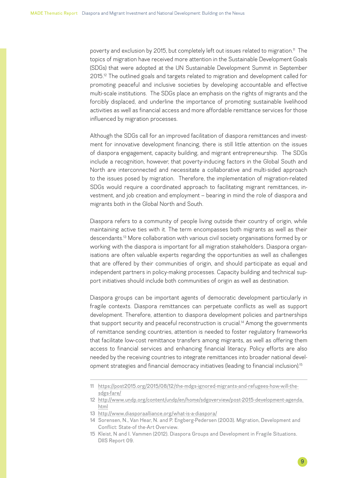poverty and exclusion by 2015, but completely left out issues related to migration.<sup>11</sup> The topics of migration have received more attention in the Sustainable Development Goals (SDGs) that were adopted at the UN Sustainable Development Summit in September 2015.<sup>12</sup> The outlined goals and targets related to migration and development called for promoting peaceful and inclusive societies by developing accountable and effective multi-scale institutions. The SDGs place an emphasis on the rights of migrants and the forcibly displaced, and underline the importance of promoting sustainable livelihood activities as well as financial access and more affordable remittance services for those influenced by migration processes.

Although the SDGs call for an improved facilitation of diaspora remittances and investment for innovative development financing, there is still little attention on the issues of diaspora engagement, capacity building, and migrant entrepreneurship. The SDGs include a recognition, however, that poverty-inducing factors in the Global South and North are interconnected and necessitate a collaborative and multi-sided approach to the issues posed by migration. Therefore, the implementation of migration-related SDGs would require a coordinated approach to facilitating migrant remittances, investment, and job creation and employment – bearing in mind the role of diaspora and migrants both in the Global North and South.

Diaspora refers to a community of people living outside their country of origin, while maintaining active ties with it. The term encompasses both migrants as well as their descendants.13 More collaboration with various civil society organisations formed by or working with the diaspora is important for all migration stakeholders. Diaspora organisations are often valuable experts regarding the opportunities as well as challenges that are offered by their communities of origin, and should participate as equal and independent partners in policy-making processes. Capacity building and technical support initiatives should include both communities of origin as well as destination.

Diaspora groups can be important agents of democratic development particularly in fragile contexts. Diaspora remittances can perpetuate conflicts as well as support development. Therefore, attention to diaspora development policies and partnerships that support security and peaceful reconstruction is crucial.<sup>14</sup> Among the governments of remittance sending countries, attention is needed to foster regulatory frameworks that facilitate low-cost remittance transfers among migrants, as well as offering them access to financial services and enhancing financial literacy. Policy efforts are also needed by the receiving countries to integrate remittances into broader national development strategies and financial democracy initiatives (leading to financial inclusion).<sup>15</sup>

13 <http://www.diasporaalliance.org/what-is-a-diaspora/>

<sup>11</sup> [https://post2015.org/2015/08/12/the-mdgs-ignored-migrants-and-refugees-how-will-the](https://post2015.org/2015/08/12/the-mdgs-ignored-migrants-and-refugees-how-will-the-sdgs-fare/)[sdgs-fare/](https://post2015.org/2015/08/12/the-mdgs-ignored-migrants-and-refugees-how-will-the-sdgs-fare/)

<sup>12</sup> [http://www.undp.org/content/undp/en/home/sdgoverview/post-2015-development-agenda.](http://www.undp.org/content/undp/en/home/sdgoverview/post-2015-development-agenda.html) [html](http://www.undp.org/content/undp/en/home/sdgoverview/post-2015-development-agenda.html)

<sup>14</sup> Sorensen, N., Van Hear, N. and P. Engberg-Pedersen (2003). Migration, Development and Conflict: State-of the-Art Overview.

<sup>15</sup> Kleist, N and I. Vammen (2012). Diaspora Groups and Development in Fragile Situations. DIIS Report 09.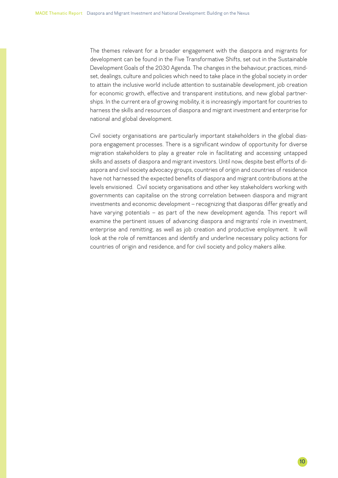The themes relevant for a broader engagement with the diaspora and migrants for development can be found in the Five Transformative Shifts, set out in the Sustainable Development Goals of the 2030 Agenda. The changes in the behaviour, practices, mindset, dealings, culture and policies which need to take place in the global society in order to attain the inclusive world include attention to sustainable development, job creation for economic growth, effective and transparent institutions, and new global partnerships. In the current era of growing mobility, it is increasingly important for countries to harness the skills and resources of diaspora and migrant investment and enterprise for national and global development.

Civil society organisations are particularly important stakeholders in the global diaspora engagement processes. There is a significant window of opportunity for diverse migration stakeholders to play a greater role in facilitating and accessing untapped skills and assets of diaspora and migrant investors. Until now, despite best efforts of diaspora and civil society advocacy groups, countries of origin and countries of residence have not harnessed the expected benefits of diaspora and migrant contributions at the levels envisioned. Civil society organisations and other key stakeholders working with governments can capitalise on the strong correlation between diaspora and migrant investments and economic development – recognizing that diasporas differ greatly and have varying potentials – as part of the new development agenda. This report will examine the pertinent issues of advancing diaspora and migrants' role in investment, enterprise and remitting, as well as job creation and productive employment. It will look at the role of remittances and identify and underline necessary policy actions for countries of origin and residence, and for civil society and policy makers alike.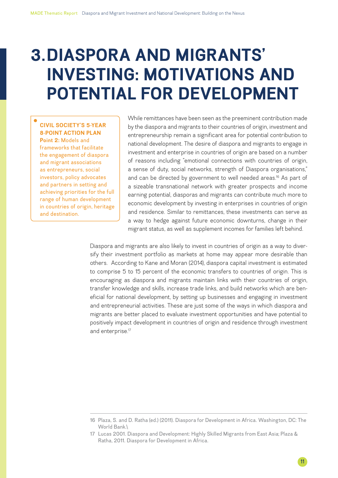## <span id="page-10-0"></span>**3.DIASPORA AND MIGRANTS' INVESTING: MOTIVATIONS AND POTENTIAL FOR DEVELOPMENT**

**CIVIL SOCIETY'S 5-YEAR 8-POINT ACTION PLAN Point 2:** Models and frameworks that facilitate the engagement of diaspora and migrant associations as entrepreneurs, social investors, policy advocates and partners in setting and achieving priorities for the full range of human development in countries of origin, heritage and destination.

While remittances have been seen as the preeminent contribution made by the diaspora and migrants to their countries of origin, investment and entrepreneurship remain a significant area for potential contribution to national development. The desire of diaspora and migrants to engage in investment and enterprise in countries of origin are based on a number of reasons including "emotional connections with countries of origin, a sense of duty, social networks, strength of Diaspora organisations," and can be directed by government to well needed areas.<sup>16</sup> As part of a sizeable transnational network with greater prospects and income earning potential, diasporas and migrants can contribute much more to economic development by investing in enterprises in countries of origin and residence. Similar to remittances, these investments can serve as a way to hedge against future economic downturns, change in their migrant status, as well as supplement incomes for families left behind.

Diaspora and migrants are also likely to invest in countries of origin as a way to diversify their investment portfolio as markets at home may appear more desirable than others. According to Kane and Moran (2014), diaspora capital investment is estimated to comprise 5 to 15 percent of the economic transfers to countries of origin. This is encouraging as diaspora and migrants maintain links with their countries of origin, transfer knowledge and skills, increase trade links, and build networks which are beneficial for national development, by setting up businesses and engaging in investment and entrepreneurial activities. These are just some of the ways in which diaspora and migrants are better placed to evaluate investment opportunities and have potential to positively impact development in countries of origin and residence through investment and enterprise.<sup>17</sup>

<sup>16</sup> Plaza, S. and D. Ratha (ed.) (2011). Diaspora for Development in Africa. Washington, DC: The World Bank.\

<sup>17</sup> Lucas 2001. Diaspora and Development: Highly Skilled Migrants from East Asia; Plaza & Ratha, 2011. Diaspora for Development in Africa.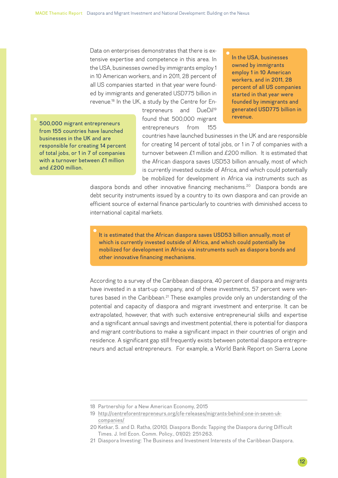Data on enterprises demonstrates that there is extensive expertise and competence in this area. In the USA, businesses owned by immigrants employ 1 in 10 American workers, and in 2011, 28 percent of all US companies started in that year were founded by immigrants and generated USD775 billion in revenue.18 In the UK, a study by the Centre for En-

> trepreneurs and DueDil<sup>19</sup> found that 500,000 migrant entrepreneurs from 155

In the USA, businesses owned by immigrants employ 1 in 10 American workers, and in 2011, 28 percent of all US companies started in that year were founded by immigrants and generated USD775 billion in revenue.

500,000 migrant entrepreneurs from 155 countries have launched businesses in the UK and are responsible for creating 14 percent of total jobs, or 1 in 7 of companies with a turnover between £1 million and £200 million.

countries have launched businesses in the UK and are responsible for creating 14 percent of total jobs, or 1 in 7 of companies with a turnover between £1 million and £200 million. It is estimated that the African diaspora saves USD53 billion annually, most of which is currently invested outside of Africa, and which could potentially be mobilized for development in Africa via instruments such as

diaspora bonds and other innovative financing mechanisms.<sup>20</sup> Diaspora bonds are debt security instruments issued by a country to its own diaspora and can provide an efficient source of external finance particularly to countries with diminished access to international capital markets.

It is estimated that the African diaspora saves USD53 billion annually, most of which is currently invested outside of Africa, and which could potentially be mobilized for development in Africa via instruments such as diaspora bonds and other innovative financing mechanisms.

According to a survey of the Caribbean diaspora, 40 percent of diaspora and migrants have invested in a start-up company, and of these investments, 57 percent were ventures based in the Caribbean.<sup>21</sup> These examples provide only an understanding of the potential and capacity of diaspora and migrant investment and enterprise. It can be extrapolated, however, that with such extensive entrepreneurial skills and expertise and a significant annual savings and investment potential, there is potential for diaspora and migrant contributions to make a significant impact in their countries of origin and residence. A significant gap still frequently exists between potential diaspora entrepreneurs and actual entrepreneurs. For example, a World Bank Report on Sierra Leone

<sup>18</sup> Partnership for a New American Economy, 2015

<sup>19</sup> [http://centreforentrepreneurs.org/cfe-releases/migrants-behind-one-in-seven-uk](http://centreforentrepreneurs.org/cfe-releases/migrants-behind-one-in-seven-uk-companies/)[companies/](http://centreforentrepreneurs.org/cfe-releases/migrants-behind-one-in-seven-uk-companies/)

<sup>20</sup> Ketkar, S. and D. Ratha, (2010). Diaspora Bonds: Tapping the Diaspora during Difficult Times. J. Intl Econ. Comm. Policy., 01(02): 251-263.

<sup>21</sup> Diaspora Investing: The Business and Investment Interests of the Caribbean Diaspora.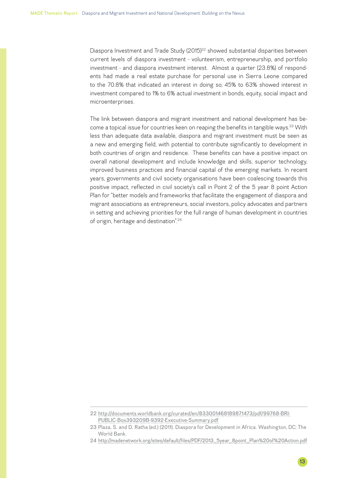Diaspora Investment and Trade Study (2015)<sup>22</sup> showed substantial disparities between current levels of diaspora investment - volunteerism, entrepreneurship, and portfolio investment - and diaspora investment interest. Almost a quarter (23.8%) of respondents had made a real estate purchase for personal use in Sierra Leone compared to the 70.8% that indicated an interest in doing so; 45% to 63% showed interest in investment compared to 1% to 6% actual investment in bonds, equity, social impact and microenterprises.

The link between diaspora and migrant investment and national development has become a topical issue for countries keen on reaping the benefits in tangible ways.23 With less than adequate data available, diaspora and migrant investment must be seen as a new and emerging field, with potential to contribute significantly to development in both countries of origin and residence. These benefits can have a positive impact on overall national development and include knowledge and skills, superior technology, improved business practices and financial capital of the emerging markets. In recent years, governments and civil society organisations have been coalescing towards this positive impact, reflected in civil society's call in Point 2 of the 5 year 8 point Action Plan for "better models and frameworks that facilitate the engagement of diaspora and migrant associations as entrepreneurs, social investors, policy advocates and partners in setting and achieving priorities for the full range of human development in countries of origin, heritage and destination".24

<sup>22</sup> [http://documents.worldbank.org/curated/en/833001468189871473/pdf/99768-BRI-](http://documents.worldbank.org/curated/en/833001468189871473/pdf/99768-BRI-PUBLIC-Box393209B-9392-Executive-Summary.pdf)[PUBLIC-Box393209B-9392-Executive-Summary.pdf](http://documents.worldbank.org/curated/en/833001468189871473/pdf/99768-BRI-PUBLIC-Box393209B-9392-Executive-Summary.pdf)

<sup>23</sup> Plaza, S. and D. Ratha (ed.) (2011). Diaspora for Development in Africa. Washington, DC: The World Bank.

<sup>24</sup> [http://madenetwork.org/sites/default/files/PDF/2013\\_5year\\_8point\\_Plan%20of%20Action.pdf](http://madenetwork.org/sites/default/files/PDF/2013_5year_8point_Plan%20of%20Action.pdf)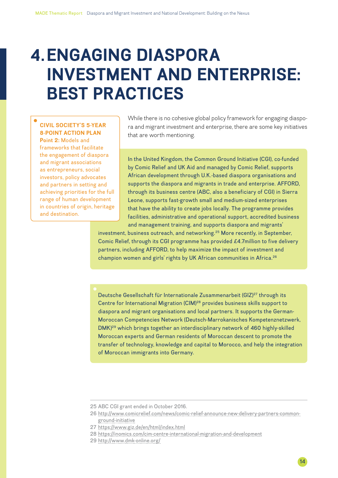## <span id="page-13-0"></span>**4.ENGAGING DIASPORA INVESTMENT AND ENTERPRISE: BEST PRACTICES**

#### **CIVIL SOCIETY'S 5-YEAR 8-POINT ACTION PLAN**

**Point 2:** Models and frameworks that facilitate the engagement of diaspora and migrant associations as entrepreneurs, social investors, policy advocates and partners in setting and achieving priorities for the full range of human development in countries of origin, heritage and destination.

While there is no cohesive global policy framework for engaging diaspora and migrant investment and enterprise, there are some key initiatives that are worth mentioning.

In the United Kingdom, the Common Ground Initiative (CGI), co-funded by Comic Relief and UK Aid and managed by Comic Relief, supports African development through U.K.-based diaspora organisations and supports the diaspora and migrants in trade and enterprise. AFFORD, through its business centre (ABC, also a beneficiary of CGI) in Sierra Leone, supports fast-growth small and medium-sized enterprises that have the ability to create jobs locally. The programme provides facilities, administrative and operational support, accredited business and management training, and supports diaspora and migrants'

investment, business outreach, and networking.25 More recently, in September, Comic Relief, through its CGI programme has provided £4.7million to five delivery partners, including AFFORD, to help maximize the impact of investment and champion women and girls' rights by UK African communities in Africa.<sup>26</sup>

Deutsche Gesellschaft für Internationale Zusammenarbeit (GIZ)<sup>27</sup> through its Centre for International Migration (CIM)28 provides business skills support to diaspora and migrant organisations and local partners. It supports the German-Moroccan Competencies Network (Deutsch-Marrokanisches Kompetenznetzwerk, DMK)29 which brings together an interdisciplinary network of 460 highly-skilled Moroccan experts and German residents of Moroccan descent to promote the transfer of technology, knowledge and capital to Morocco, and help the integration of Moroccan immigrants into Germany.

- 27 <https://www.giz.de/en/html/index.html>
- 28 <https://inomics.com/cim-centre-international-migration-and-development>
- 29 <http://www.dmk-online.org/>

<sup>25</sup> ABC CGI grant ended in October 2016.

<sup>26</sup> [http://www.comicrelief.com/news/comic-relief-announce-new-delivery-partners-common](http://www.comicrelief.com/news/comic-relief-announce-new-delivery-partners-common-ground-initiative)[ground-initiative](http://www.comicrelief.com/news/comic-relief-announce-new-delivery-partners-common-ground-initiative)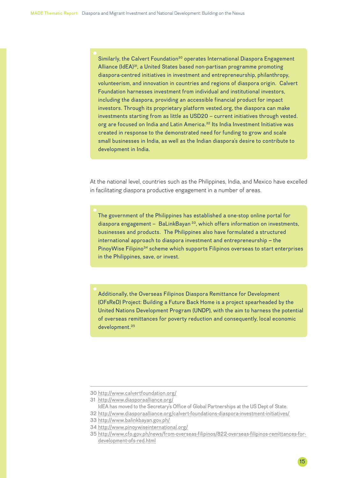Similarly, the Calvert Foundation<sup>30</sup> operates International Diaspora Engagement Alliance (IdEA)<sup>31</sup>, a United States based non-partisan programme promoting diaspora-centred initiatives in investment and entrepreneurship, philanthropy, volunteerism, and innovation in countries and regions of diaspora origin. Calvert Foundation harnesses investment from individual and institutional investors, including the diaspora, providing an accessible financial product for impact investors. Through its proprietary platform vested.org, the diaspora can make investments starting from as little as USD20 – current initiatives through vested. org are focused on India and Latin America.<sup>32</sup> Its India Investment Initiative was created in response to the demonstrated need for funding to grow and scale small businesses in India, as well as the Indian diaspora's desire to contribute to development in India.

At the national level, countries such as the Philippines, India, and Mexico have excelled in facilitating diaspora productive engagement in a number of areas.

The government of the Philippines has established a one-stop online portal for diaspora engagement - BaLinkBayan<sup>33</sup>, which offers information on investments, businesses and products. The Philippines also have formulated a structured international approach to diaspora investment and entrepreneurship **–** the [PinoyWise Filipino](http://www.pinoywiseinternational.org/)<sup>34</sup> scheme which supports Filipinos overseas to start enterprises in the Philippines, save, or invest.

Additionally, the Overseas Filipinos Diaspora Remittance for Development (OFsReD) Project: Building a Future Back Home is a project spearheaded by the United Nations Development Program (UNDP), with the aim to harness the potential of overseas remittances for poverty reduction and consequently, local economic development.35

31 <http://www.diasporaalliance.org/>

IdEA has moved to the Secretary's Office of Global Partnerships at the US Dept of State.

<sup>30</sup> <http://www.calvertfoundation.org/>

<sup>32</sup> <http://www.diasporaalliance.org/calvert-foundations-diaspora-investment-initiatives/>

<sup>33</sup> <http://www.balinkbayan.gov.ph/>

<sup>34</sup> <http://www.pinoywiseinternational.org/>

<sup>35</sup> [http://www.cfo.gov.ph/news/from-overseas-filipinos/822-overseas-filipinos-remittances-for](http://www.cfo.gov.ph/news/from-overseas-filipinos/822-overseas-filipinos-remittances-for-development-ofs-red.html)[development-ofs-red.html](http://www.cfo.gov.ph/news/from-overseas-filipinos/822-overseas-filipinos-remittances-for-development-ofs-red.html)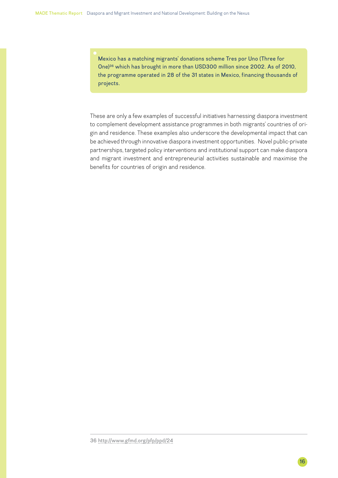Mexico has a matching migrants' donations scheme Tres por Uno (Three for One)36 which has brought in more than USD300 million since 2002. As of 2010, the programme operated in 28 of the 31 states in Mexico, financing thousands of projects.

These are only a few examples of successful initiatives harnessing diaspora investment to complement development assistance programmes in both migrants' countries of origin and residence. These examples also underscore the developmental impact that can be achieved through innovative diaspora investment opportunities. Novel public-private partnerships, targeted policy interventions and institutional support can make diaspora and migrant investment and entrepreneurial activities sustainable and maximise the benefits for countries of origin and residence.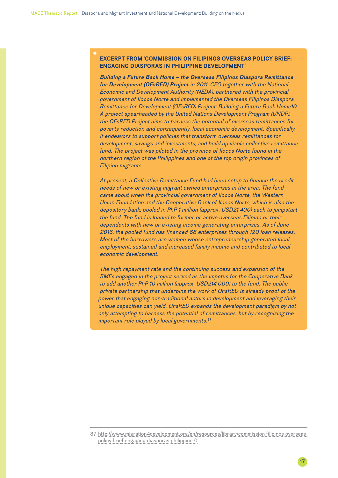#### **EXCERPT FROM 'COMMISSION ON FILIPINOS OVERSEAS POLICY BRIEF: ENGAGING DIASPORAS IN PHILIPPINE DEVELOPMENT'**

*Building a Future Back Home – the Overseas Filipinos Diaspora Remittance for Development (OFsRED) Project in 2011, CFO together with the National Economic and Development Authority (NEDA), partnered with the provincial government of Ilocos Norte and implemented the Overseas Filipinos Diaspora Remittance for Development (OFsRED) Project: Building a Future Back Home10. A project spearheaded by the United Nations Development Program (UNDP), the OFsRED Project aims to harness the potential of overseas remittances for poverty reduction and consequently, local economic development. Specifically, it endeavors to support policies that transform overseas remittances for development, savings and investments, and build up viable collective remittance fund. The project was piloted in the province of Ilocos Norte found in the northern region of the Philippines and one of the top origin provinces of Filipino migrants.* 

*At present, a Collective Remittance Fund had been setup to finance the credit needs of new or existing migrant-owned enterprises in the area. The fund came about when the provincial government of Ilocos Norte, the Western Union Foundation and the Cooperative Bank of Ilocos Norte, which is also the depository bank, pooled in PhP 1 million (approx. USD21,400) each to jumpstart the fund. The fund is loaned to former or active overseas Filipino or their dependents with new or existing income generating enterprises. As of June 2016, the pooled fund has financed 68 enterprises through 120 loan releases. Most of the borrowers are women whose entrepreneurship generated local employment, sustained and increased family income and contributed to local economic development.* 

*The high repayment rate and the continuing success and expansion of the SMEs engaged in the project served as the impetus for the Cooperative Bank to add another PhP 10 million (approx. USD214,000) to the fund. The publicprivate partnership that underpins the work of OFsRED is already proof of the power that engaging non-traditional actors in development and leveraging their unique capacities can yield. OFsRED expands the development paradigm by not only attempting to harness the potential of remittances, but by recognizing the important role played by local governments.*<sup>37</sup>

<sup>37</sup> [http://www.migration4development.org/en/resources/library/commission-filipinos-overseas](http://www.migration4development.org/en/resources/library/commission-filipinos-overseas-policy-brief-engaging-diasporas-philippine-0)[policy-brief-engaging-diasporas-philippine-0](http://www.migration4development.org/en/resources/library/commission-filipinos-overseas-policy-brief-engaging-diasporas-philippine-0)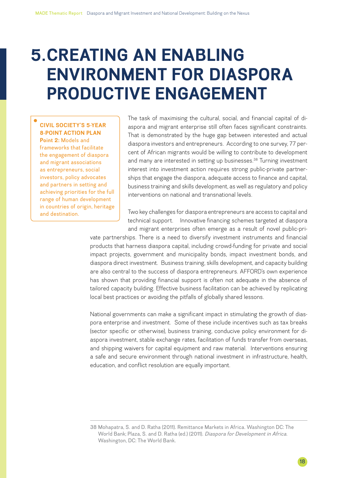### <span id="page-17-0"></span>**5.CREATING AN ENABLING ENVIRONMENT FOR DIASPORA PRODUCTIVE ENGAGEMENT**

**CIVIL SOCIETY'S 5-YEAR 8-POINT ACTION PLAN Point 2:** Models and frameworks that facilitate the engagement of diaspora and migrant associations as entrepreneurs, social investors, policy advocates and partners in setting and achieving priorities for the full range of human development in countries of origin, heritage and destination.

The task of maximising the cultural, social, and financial capital of diaspora and migrant enterprise still often faces significant constraints. That is demonstrated by the huge gap between interested and actual diaspora investors and entrepreneurs. According to one survey, 77 percent of African migrants would be willing to contribute to development and many are interested in setting up businesses.<sup>38</sup> Turning investment interest into investment action requires strong public-private partnerships that engage the diaspora, adequate access to finance and capital, business training and skills development, as well as regulatory and policy interventions on national and transnational levels.

Two key challenges for diaspora entrepreneurs are access to capital and technical support. Innovative financing schemes targeted at diaspora and migrant enterprises often emerge as a result of novel public-pri-

vate partnerships. There is a need to diversify investment instruments and financial products that harness diaspora capital, including crowd-funding for private and social impact projects, government and municipality bonds, impact investment bonds, and diaspora direct investment. Business training, skills development, and capacity building are also central to the success of diaspora entrepreneurs. AFFORD's own experience has shown that providing financial support is often not adequate in the absence of tailored capacity building. Effective business facilitation can be achieved by replicating local best practices or avoiding the pitfalls of globally shared lessons.

National governments can make a significant impact in stimulating the growth of diaspora enterprise and investment. Some of these include incentives such as tax breaks (sector specific or otherwise), business training, conducive policy environment for diaspora investment, stable exchange rates, facilitation of funds transfer from overseas, and shipping waivers for capital equipment and raw material. Interventions ensuring a safe and secure environment through national investment in infrastructure, health, education, and conflict resolution are equally important.

<sup>38</sup> Mohapatra, S. and D. Ratha (2011). Remittance Markets in Africa. Washington DC: The World Bank; Plaza, S. and D. Ratha (ed.) (2011). *Diaspora for Development in Africa*. Washington, DC: The World Bank.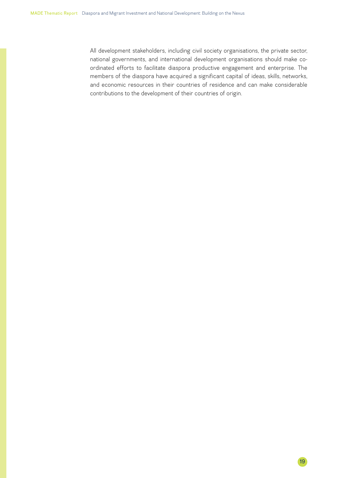All development stakeholders, including civil society organisations, the private sector, national governments, and international development organisations should make coordinated efforts to facilitate diaspora productive engagement and enterprise. The members of the diaspora have acquired a significant capital of ideas, skills, networks, and economic resources in their countries of residence and can make considerable contributions to the development of their countries of origin.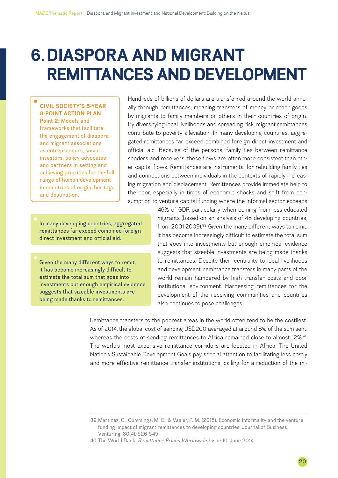# <span id="page-19-0"></span>**6.DIASPORA AND MIGRANT REMITTANCES AND DEVELOPMENT**

#### **CIVIL SOCIETY'S 5-YEAR 8-POINT ACTION PLAN**

**Point 2:** Models and frameworks that facilitate the engagement of diaspora and migrant associations as entrepreneurs, social investors, policy advocates and partners in setting and achieving priorities for the full range of human development in countries of origin, heritage and destination.

Hundreds of billions of dollars are transferred around the world annually through remittances, meaning transfers of money or other goods by migrants to family members or others in their countries of origin. By diversifying local livelihoods and spreading risk, migrant remittances contribute to poverty alleviation. In many developing countries, aggregated remittances far exceed combined foreign direct investment and official aid. Because of the personal family ties between remittance senders and receivers, these flows are often more consistent than other capital flows. Remittances are instrumental for rebuilding family ties and connections between individuals in the contexts of rapidly increasing migration and displacement. Remittances provide immediate help to the poor, especially in times of economic shocks and shift from consumption to venture capital funding where the informal sector exceeds

In many developing countries, aggregated remittances far exceed combined foreign direct investment and official aid.

Given the many different ways to remit, it has become increasingly difficult to estimate the total sum that goes into investments but enough empirical evidence suggests that sizeable investments are being made thanks to remittances.

46% of GDP, particularly when coming from less-educated migrants (based on an analysis of 48 developing countries, from 2001-2009).<sup>39</sup> Given the many different ways to remit, it has become increasingly difficult to estimate the total sum that goes into investments but enough empirical evidence suggests that sizeable investments are being made thanks to remittances. Despite their centrality to local livelihoods and development, remittance transfers in many parts of the world remain hampered by high transfer costs and poor institutional environment. Harnessing remittances for the development of the receiving communities and countries also continues to pose challenges.

Remittance transfers to the poorest areas in the world often tend to be the costliest. As of 2014, the global cost of sending USD200 averaged at around 8% of the sum sent, whereas the costs of sending remittances to Africa remained close to almost 12%.<sup>40</sup> The world's most expensive remittance corridors are located in Africa. The United Nation's Sustainable Development Goals pay special attention to facilitating less costly and more effective remittance transfer institutions, calling for a reduction of the mi-

<sup>39</sup> Martinez, C., Cummings, M. E., & Vaaler, P. M. (2015). Economic informality and the venture funding impact of migrant remittances to developing countries. Journal of Business Venturing, 30(4), 526-545.

<sup>40</sup> The World Bank. *Remittance Prices Worldwide,* Issue 10, June 2014.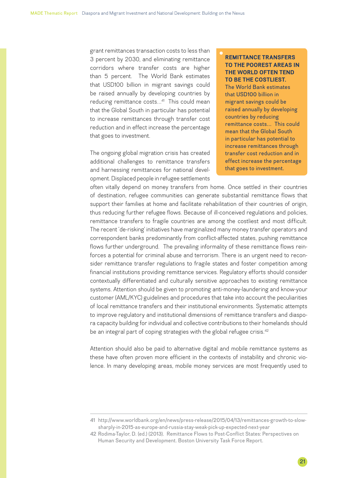grant remittances transaction costs to less than 3 percent by 2030, and eliminating remittance corridors where transfer costs are higher than 5 percent. The World Bank estimates that USD100 billion in migrant savings could be raised annually by developing countries by reducing remittance costs...<sup>41</sup> This could mean that the Global South in particular has potential to increase remittances through transfer cost reduction and in effect increase the percentage that goes to investment.

The ongoing global migration crisis has created additional challenges to remittance transfers and harnessing remittances for national development. Displaced people in refugee settlements

#### **REMITTANCE TRANSFERS TO THE POOREST AREAS IN THE WORLD OFTEN TEND TO BE THE COSTLIEST.** The World Bank estimates that USD100 billion in migrant savings could be raised annually by developing countries by reducing remittance costs… This could mean that the Global South in particular has potential to increase remittances through transfer cost reduction and in effect increase the percentage that goes to investment.

often vitally depend on money transfers from home. Once settled in their countries of destination, refugee communities can generate substantial remittance flows that support their families at home and facilitate rehabilitation of their countries of origin, thus reducing further refugee flows. Because of ill-conceived regulations and policies, remittance transfers to fragile countries are among the costliest and most difficult. The recent 'de-risking' initiatives have marginalized many money transfer operators and correspondent banks predominantly from conflict-affected states, pushing remittance flows further underground. The prevailing informality of these remittance flows reinforces a potential for criminal abuse and terrorism. There is an urgent need to reconsider remittance transfer regulations to fragile states and foster competition among financial institutions providing remittance services. Regulatory efforts should consider contextually differentiated and culturally sensitive approaches to existing remittance systems. Attention should be given to promoting anti-money-laundering and know-your customer (AML/KYC) guidelines and procedures that take into account the peculiarities of local remittance transfers and their institutional environments. Systematic attempts to improve regulatory and institutional dimensions of remittance transfers and diaspora capacity building for individual and collective contributions to their homelands should be an integral part of coping strategies with the global refugee crisis.<sup>42</sup>

Attention should also be paid to alternative digital and mobile remittance systems as these have often proven more efficient in the contexts of instability and chronic violence. In many developing areas, mobile money services are most frequently used to

<sup>41</sup> http://www.worldbank.org/en/news/press-release/2015/04/13/remittances-growth-to-slowsharply-in-2015-as-europe-and-russia-stay-weak-pick-up-expected-next-year

<sup>42</sup> Rodima-Taylor, D. (ed.) (2013). Remittance Flows to Post-Conflict States: Perspectives on Human Security and Development. Boston University Task Force Report.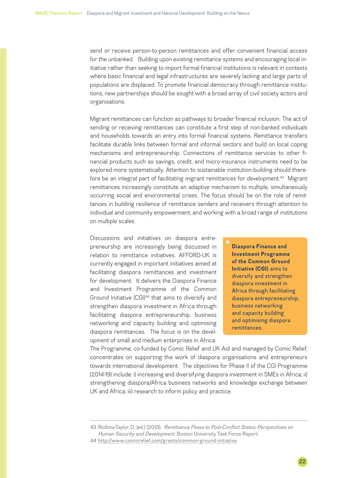send or receive person-to-person remittances and offer convenient financial access for the unbanked. Building upon existing remittance systems and encouraging local initiative rather than seeking to import formal financial institutions is relevant in contexts where basic financial and legal infrastructures are severely lacking and large parts of populations are displaced. To promote financial democracy through remittance institutions, new partnerships should be sought with a broad array of civil society actors and organisations.

Migrant remittances can function as pathways to broader financial inclusion. The act of sending or receiving remittances can constitute a first step of non-banked individuals and households towards an entry into formal financial systems. Remittance transfers facilitate durable links between formal and informal sectors and build on local coping mechanisms and entrepreneurship. Connections of remittance services to other financial products such as savings, credit, and micro-insurance instruments need to be explored more systematically. Attention to sustainable institution-building should therefore be an integral part of facilitating migrant remittances for development.<sup>43</sup> Migrant remittances increasingly constitute an adaptive mechanism to multiple, simultaneously occurring social and environmental crises. The focus should be on the role of remittances in building resilience of remittance senders and receivers through attention to individual and community empowerment, and working with a broad range of institutions on multiple scales.

Discussions and initiatives on diaspora entrepreneurship are increasingly being discussed in relation to remittance initiatives. AFFORD-UK is currently engaged in important initiatives aimed at facilitating diaspora remittances and investment for development. It delivers the Diaspora Finance and Investment Programme of the Common Ground Initiative (CGI)<sup>44</sup> that aims to diversify and strengthen diaspora investment in Africa through facilitating diaspora entrepreneurship, business networking and capacity building and optimising diaspora remittances. The focus is on the development of small and medium enterprises in Africa.

**Diaspora Finance and Investment Programme of the Common Ground Initiative (CGI)** aims to diversify and strengthen diaspora investment in Africa through facilitating diaspora entrepreneurship, business networking and capacity building and optimising diaspora remittances.

The Programme, co-funded by Comic Relief and UK Aid and managed by Comic Relief, concentrates on supporting the work of diaspora organisations and entrepreneurs towards international development. The objectives for Phase II of the CGI Programme (2014-19) include: i) increasing and diversifying diaspora investment in SMEs in Africa; ii) strengthening diaspora/Africa business networks and knowledge exchange between UK and Africa; iii) research to inform policy and practice.

 $22$ 

<sup>43</sup> Rodima-Taylor, D. (ed.) (2013). *Remittance Flows to Post-Conflict States: Perspectives on Human Security and Development.* Boston University Task Force Report.

<sup>44</sup> <http://www.comicrelief.com/grants/common-ground-initiative>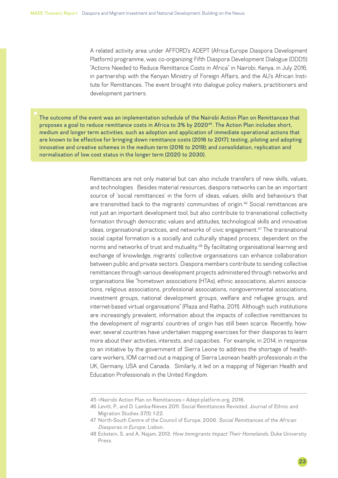A related activity area under AFFORD's ADEPT (Africa-Europe Diaspora Development Platform) programme, was co-organizing Fifth Diaspora Development Dialogue (DDD5) "Actions Needed to Reduce Remittance Costs in Africa" in Nairobi, Kenya, in July 2016, in partnership with the Kenyan Ministry of Foreign Affairs, and the AU's African Institute for Remittances. The event brought into dialogue policy makers, practitioners and development partners.

The outcome of the event was an implementation schedule of the Nairobi Action Plan on Remittances that proposes a goal to reduce remittance costs in Africa to 3% by 202045. The Action Plan includes short, medium and longer term activities, such as adoption and application of immediate operational actions that are known to be effective for bringing down remittance costs (2016 to 2017); testing, piloting and adopting innovative and creative schemes in the medium term (2016 to 2019); and consolidation, replication and normalisation of low cost status in the longer term (2020 to 2030).

> Remittances are not only material but can also include transfers of new skills, values, and technologies. Besides material resources, diaspora networks can be an important source of 'social remittances' in the form of ideas, values, skills and behaviours that are transmitted back to the migrants' communities of origin.<sup>46</sup> Social remittances are not just an important development tool, but also contribute to transnational collectivity formation through democratic values and attitudes, technological skills and innovative ideas, organisational practices, and networks of civic engagement.<sup>47</sup> The transnational social capital formation is a socially and culturally shaped process, dependent on the norms and networks of trust and mutuality.48 By facilitating organisational learning and exchange of knowledge, migrants' collective organisations can enhance collaboration between public and private sectors. Diaspora members contribute to sending collective remittances through various development projects administered through networks and organisations like "hometown associations (HTAs), ethnic associations, alumni associations, religious associations, professional associations, nongovernmental associations, investment groups, national development groups, welfare and refugee groups, and internet-based virtual organisations" (Plaza and Ratha, 2011). Although such institutions are increasingly prevalent, information about the impacts of collective remittances to the development of migrants' countries of origin has still been scarce. Recently, however, several countries have undertaken mapping exercises for their diasporas to learn more about their activities, interests, and capacities. For example, in 2014, in response to an initiative by the government of Sierra Leone to address the shortage of healthcare workers, IOM carried out a mapping of Sierra Leonean health professionals in the UK, Germany, USA and Canada. Similarly, it led on a mapping of Nigerian Health and Education Professionals in the United Kingdom.

<sup>45</sup> «Nairobi Action Plan on Remittances.» Adept-platform.org, 2016.

<sup>46</sup> Levitt, P., and D. Lamba-Nieves 2011. Social Remittances Revisited. Journal of Ethnic and Migration Studies 37(1): 1-22.

<sup>47</sup> North-South Centre of the Council of Europe, 2006. *Social Remittances of the African Diasporas in Europe.* Lisbon.

<sup>48</sup> Eckstein, S. and A. Najam, 2013. *How Immigrants Impact Their Homelands.* Duke University Press.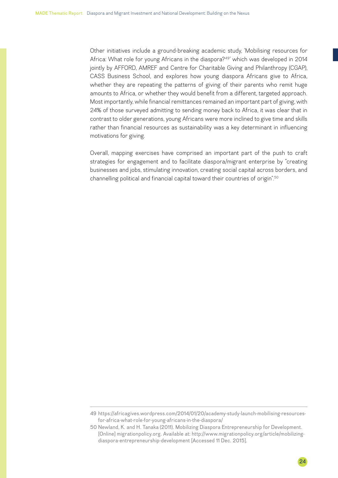Other initiatives include a ground-breaking academic study, 'Mobilising resources for Africa: What role for young Africans in the diaspora?<sup>49'</sup> which was developed in 2014 jointly by AFFORD, AMREF and Centre for Charitable Giving and Philanthropy (CGAP), CASS Business School, and explores how young diaspora Africans give to Africa, whether they are repeating the patterns of giving of their parents who remit huge amounts to Africa, or whether they would benefit from a different, targeted approach. Most importantly, while financial remittances remained an important part of giving, with 24% of those surveyed admitting to sending money back to Africa, it was clear that in contrast to older generations, young Africans were more inclined to give time and skills rather than financial resources as sustainability was a key determinant in influencing motivations for giving.

Overall, mapping exercises have comprised an important part of the push to craft strategies for engagement and to facilitate diaspora/migrant enterprise by "creating businesses and jobs, stimulating innovation, creating social capital across borders, and channelling political and financial capital toward their countries of origin".<sup>50</sup>

24

<sup>49</sup> https://africagives.wordpress.com/2014/01/20/academy-study-launch-mobilising-resourcesfor-africa-what-role-for-young-africans-in-the-diaspora/

<sup>50</sup> Newland, K. and H. Tanaka (2011). Mobilizing Diaspora Entrepreneurship for Development. [Online] migrationpolicy.org. Available at: [http://www.migrationpolicy.org/article/mobilizing](http://www.migrationpolicy.org/article/mobilizing-diaspora-entrepreneurship-development)[diaspora-entrepreneurship-development](http://www.migrationpolicy.org/article/mobilizing-diaspora-entrepreneurship-development) [Accessed 11 Dec. 2015].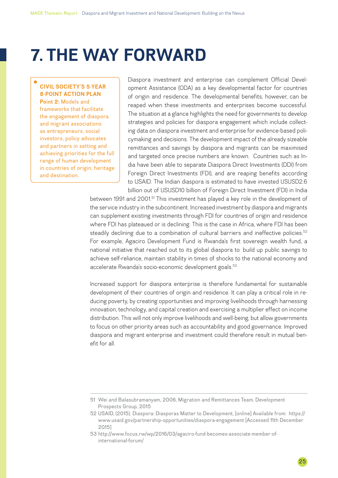# <span id="page-24-0"></span>**7. THE WAY FORWARD**

#### **CIVIL SOCIETY'S 5-YEAR 8-POINT ACTION PLAN**

**Point 2:** Models and frameworks that facilitate the engagement of diaspora and migrant associations as entrepreneurs, social investors, policy advocates and partners in setting and achieving priorities for the full range of human development in countries of origin, heritage and destination.

Diaspora investment and enterprise can complement Official Development Assistance (ODA) as a key developmental factor for countries of origin and residence. The developmental benefits, however, can be reaped when these investments and enterprises become successful. The situation at a glance highlights the need for governments to develop strategies and policies for diaspora engagement which include collecting data on diaspora investment and enterprise for evidence-based policymaking and decisions. The development impact of the already sizeable remittances and savings by diaspora and migrants can be maximised and targeted once precise numbers are known. Countries such as India have been able to separate Diaspora Direct Investments (DDI) from Foreign Direct Investments (FDI), and are reaping benefits according to USAID. The Indian diaspora is estimated to have invested USUSD2.6 billion out of USUSD10 billion of Foreign Direct Investment (FDI) in India

between 1991 and 2001.<sup>51</sup> This investment has played a key role in the development of the service industry in the subcontinent. Increased investment by diaspora and migrants can supplement existing investments through FDI for countries of origin and residence where FDI has plateaued or is declining. This is the case in Africa, where FDI has been steadily declining due to a combination of cultural barriers and ineffective policies.<sup>52</sup> For example, Agaciro Development Fund is Rwanda's first sovereign wealth fund, a national initiative that reached out to its global diaspora to build up public savings to achieve self-reliance, maintain stability in times of shocks to the national economy and accelerate Rwanda's socio-economic development goals.<sup>53</sup>

Increased support for diaspora enterprise is therefore fundamental for sustainable development of their countries of origin and residence. It can play a critical role in reducing poverty, by creating opportunities and improving livelihoods through harnessing innovation, technology, and capital creation and exercising a multiplier effect on income distribution. This will not only improve livelihoods and well-being, but allow governments to focus on other priority areas such as accountability and good governance. Improved diaspora and migrant enterprise and investment could therefore result in mutual benefit for all.

<sup>51</sup> Wei and Balasubramanyam, 2006, Migration and Remittances Team, Development Prospects Group, 2015

<sup>52</sup> USAID, (2015). Diaspora: Diasporas Matter to Development, [online] Available from: https:// www.usaid.gov/partnership-opportunities/diaspora-engagement [Accessed 11th December 2015]

<sup>53</sup> http://www.focus.rw/wp/2016/03/agaciro-fund-becomes-associate-member-ofinternational-forum/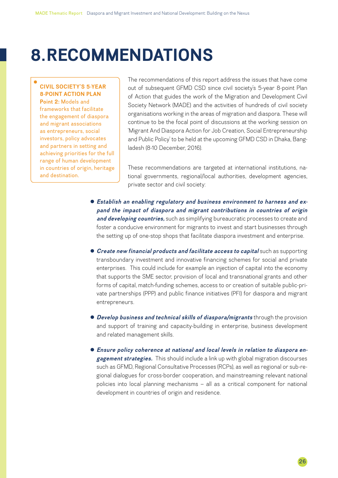### <span id="page-25-0"></span>**8.RECOMMENDATIONS**

#### **CIVIL SOCIETY'S 5-YEAR 8-POINT ACTION PLAN**

**Point 2:** Models and frameworks that facilitate the engagement of diaspora and migrant associations as entrepreneurs, social investors, policy advocates and partners in setting and achieving priorities for the full range of human development in countries of origin, heritage and destination.

The recommendations of this report address the issues that have come out of subsequent GFMD CSD since civil society's 5-year 8-point Plan of Action that guides the work of the Migration and Development Civil Society Network (MADE) and the activities of hundreds of civil society organisations working in the areas of migration and diaspora. These will continue to be the focal point of discussions at the working session on 'Migrant And Diaspora Action for Job Creation, Social Entrepreneurship and Public Policy' to be held at the upcoming GFMD CSD in Dhaka, Bangladesh (8-10 December, 2016).

These recommendations are targeted at international institutions, national governments, regional/local authorities, development agencies, private sector and civil society:

- **•** Establish an enabling regulatory and business environment to harness and ex*pand the impact of diaspora and migrant contributions in countries of origin and developing countries,* such as simplifying bureaucratic processes to create and foster a conducive environment for migrants to invest and start businesses through the setting up of one-stop shops that facilitate diaspora investment and enterprise.
- **Create new financial products and facilitate access to capital** such as supporting transboundary investment and innovative financing schemes for social and private enterprises. This could include for example an injection of capital into the economy that supports the SME sector, provision of local and transnational grants and other forms of capital, match-funding schemes, access to or creation of suitable public-private partnerships (PPP) and public finance initiatives (PFI) for diaspora and migrant entrepreneurs.
- **Develop business and technical skills of diaspora/migrants** through the provision and support of training and capacity-building in enterprise, business development and related management skills.
- **Ensure policy coherence at national and local levels in relation to diaspora en***gagement strategies.* This should include a link up with global migration discourses such as GFMD, Regional Consultative Processes (RCPs), as well as regional or sub-regional dialogues for cross-border cooperation, and mainstreaming relevant national policies into local planning mechanisms – all as a critical component for national development in countries of origin and residence.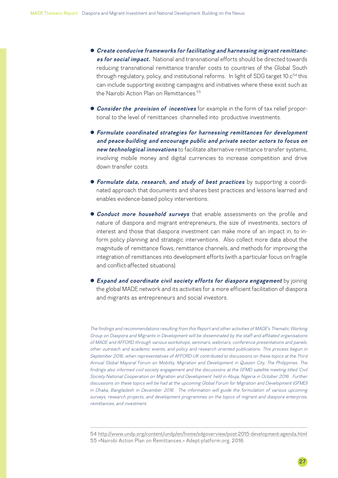- **Create conducive frameworks for facilitating and harnessing migrant remittanc***es for social impact.* National and transnational efforts should be directed towards reducing transnational remittance transfer costs to countries of the Global South through regulatory, policy, and institutional reforms. In light of SDG target 10.c<sup>54</sup> this can include supporting existing campaigns and initiatives where these exist such as the Nairobi Action Plan on Remittances.<sup>55</sup>
- **Consider the provision of incentives** for example in the form of tax relief proportional to the level of remittances channelled into productive investments.
- **Formulate coordinated strategies for harnessing remittances for development** *and peace-building and encourage public and private sector actors to focus on new technological innovations* to facilitate alternative remittance transfer systems, involving mobile money and digital currencies to increase competition and drive down transfer costs.
- **Formulate data, research, and study of best practices** by supporting a coordinated approach that documents and shares best practices and lessons learned and enables evidence-based policy interventions.
- **Conduct more household surveys** that enable assessments on the profile and nature of diaspora and migrant entrepreneurs, the size of investments, sectors of interest and those that diaspora investment can make more of an impact in, to inform policy planning and strategic interventions. Also collect more data about the magnitude of remittance flows, remittance channels, and methods for improving the integration of remittances into development efforts (with a particular focus on fragile and conflict-affected situations).
- **Expand and coordinate civil society efforts for diaspora engagement** by joining the global MADE network and its activities for a more efficient facilitation of diaspora and migrants as entrepreneurs and social investors.

*The findings and recommendations resulting from this Report and other activities of MADE's Thematic Working Group on Diaspora and Migrants in Development will be disseminated by the staff and affiliated organisations of MADE and AFFORD through various workshops, seminars, webinars, conference presentations and panels, other outreach and academic events, and policy and research oriented publications. This process begun in September 2016, when representatives of AFFORD-UK contributed to discussions on these topics at the Third Annual Global Mayoral Forum on Mobility, Migration and Development in Quezon City, The Philippines. The*  findings also informed civil society engagement and the discussions at the GFMD satellite meeting titled 'Civil *Society National Cooperation on Migration and Development' held in Abuja, Nigeria in October 2016. Further discussions on these topics will be had at the upcoming Global Forum for Migration and Development (GFMD) in Dhaka, Bangladesh in December 2016. The information will guide the formulation of various upcoming surveys, research projects, and development programmes on the topics of migrant and diaspora enterprise, remittances, and investment.*

54 <http://www.undp.org/content/undp/en/home/sdgoverview/post-2015-development-agenda.html> 55 «Nairobi Action Plan on Remittances.» Adept-platform.org, 2016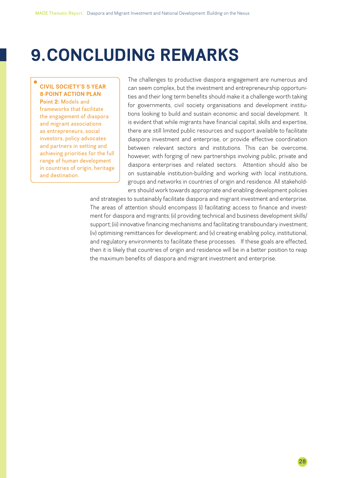# <span id="page-27-0"></span>**9.CONCLUDING REMARKS**

#### **CIVIL SOCIETY'S 5-YEAR 8-POINT ACTION PLAN**

**Point 2:** Models and frameworks that facilitate the engagement of diaspora and migrant associations as entrepreneurs, social investors, policy advocates and partners in setting and achieving priorities for the full range of human development in countries of origin, heritage and destination.

The challenges to productive diaspora engagement are numerous and can seem complex, but the investment and entrepreneurship opportunities and their long term benefits should make it a challenge worth taking for governments, civil society organisations and development institutions looking to build and sustain economic and social development. It is evident that while migrants have financial capital, skills and expertise, there are still limited public resources and support available to facilitate diaspora investment and enterprise, or provide effective coordination between relevant sectors and institutions. This can be overcome, however, with forging of new partnerships involving public, private and diaspora enterprises and related sectors. Attention should also be on sustainable institution-building and working with local institutions, groups and networks in countries of origin and residence. All stakeholders should work towards appropriate and enabling development policies

and strategies to sustainably facilitate diaspora and migrant investment and enterprise. The areas of attention should encompass (i) facilitating access to finance and investment for diaspora and migrants; (ii) providing technical and business development skills/ support; (iii) innovative financing mechanisms and facilitating transboundary investment; (iv) optimising remittances for development; and (v) creating enabling policy, institutional, and regulatory environments to facilitate these processes. If these goals are effected, then it is likely that countries of origin and residence will be in a better position to reap the maximum benefits of diaspora and migrant investment and enterprise.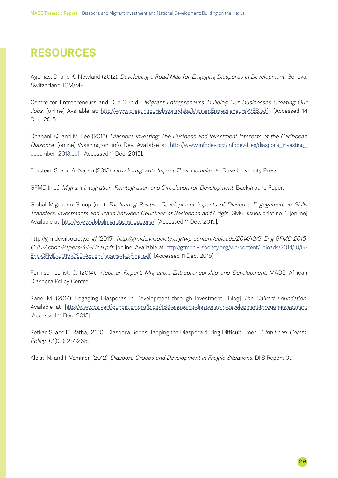### <span id="page-28-0"></span>**RESOURCES**

Agunias, D. and K. Newland (2012). *Developing a Road Map for Engaging Diasporas in Development*. Geneva, Switzerland: IOM/MPI.

Centre for Entrepreneurs and DueDil (n.d.). *Migrant Entrepreneurs: Building Our Businesses Creating Our Jobs*. [online] Available at: <http://www.creatingourjobs.org/data/MigrantEntrepreneursWEB.pdf> [Accessed 14 Dec. 2015].

Dhanani, Q. and M. Lee (2013). *Diaspora Investing: The Business and Investment Interests of the Caribbean Diaspora*. [online] Washington: info Dev. Available at: [http://www.infodev.org/infodev-files/diaspora\\_investing\\_](http://www.infodev.org/infodev-files/diaspora_investing_december_2013.pdf) [december\\_2013.pdf](http://www.infodev.org/infodev-files/diaspora_investing_december_2013.pdf) [Accessed 11 Dec. 2015].

Eckstein, S. and A. Najam (2013). *How Immigrants Impact Their Homelands.* Duke University Press.

GFMD (n.d.). *Migrant Integration, Reintegration and Circulation for Development*. Background Paper.

Global Migration Group (n.d.). *Facilitating Positive Development Impacts of Diaspora Engagement in Skills Transfers, Investments and Trade between Countries of Residence and Origin*. GMG Issues brief no. 1. [online] Available at:<http://www.globalmigrationgroup.org/>[Accessed 11 Dec. 2015].

http://gfmdcivilsociety.org/ (2015). *http://gfmdcivilsociety.org/wp-content/uploads/2014/10/G.-Eng-GFMD-2015- CSD-Action-Papers-4-2-Final.pdf*. [online] Available at: [http://gfmdcivilsociety.org/wp-content/uploads/2014/10/G.-](http://gfmdcivilsociety.org/wp-content/uploads/2014/10/G.-Eng-GFMD-2015-CSD-Action-Papers-4-2-Final.pdf) [Eng-GFMD-2015-CSD-Action-Papers-4-2-Final.pdf](http://gfmdcivilsociety.org/wp-content/uploads/2014/10/G.-Eng-GFMD-2015-CSD-Action-Papers-4-2-Final.pdf) [Accessed 11 Dec. 2015].

Formson-Lorist, C. (2014). *Webinar Report: Migration, Entrepreneurship and Development.* MADE, African Diaspora Policy Centre.

Kane, M. (2014). Engaging Diasporas in Development through Investment. [Blog] *The Calvert Foundation*. Available at: <http://www.calvertfoundation.org/blog/483-engaging-diasporas-in-development-through-investment> [Accessed 11 Dec. 2015].

Ketkar, S. and D. Ratha, (2010). Diaspora Bonds: Tapping the Diaspora during Difficult Times. *J. Intl Econ. Comm. Policy.*, 01(02): 251-263.

Kleist, N. and I. Vammen (2012). *Diaspora Groups and Development in Fragile Situations.* DIIS Report 09.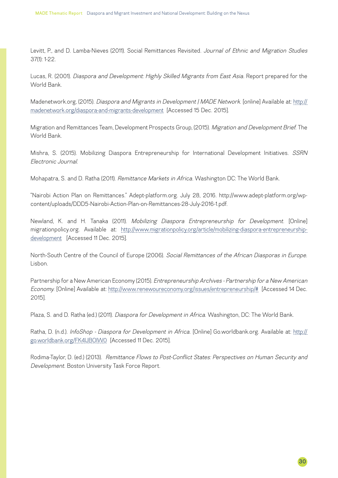Levitt, P., and D. Lamba-Nieves (2011). Social Remittances Revisited. *Journal of Ethnic and Migration Studies*  37(1): 1-22.

Lucas, R. (2001). *Diaspora and Development: Highly Skilled Migrants from East Asia.* Report prepared for the World Bank.

Madenetwork.org, (2015). *Diaspora and Migrants in Development | MADE Network*. [online] Available at: [http://](http://madenetwork.org/diaspora-and-migrants-development) [madenetwork.org/diaspora-and-migrants-development](http://madenetwork.org/diaspora-and-migrants-development) [Accessed 15 Dec. 2015].

Migration and Remittances Team, Development Prospects Group, (2015). *Migration and Development Brief*. The World Bank.

Mishra, S. (2015). Mobilizing Diaspora Entrepreneurship for International Development Initiatives. *SSRN Electronic Journal*.

Mohapatra, S. and D. Ratha (2011). *Remittance Markets in Africa.* Washington DC: The World Bank.

"Nairobi Action Plan on Remittances." Adept-platform.org. July 28, 2016. http://www.adept-platform.org/wpcontent/uploads/DDD5-Nairobi-Action-Plan-on-Remittances-28-July-2016-1.pdf.

Newland, K. and H. Tanaka (2011). *Mobilizing Diaspora Entrepreneurship for Development*. [Online] migrationpolicy.org. Available at: [http://www.migrationpolicy.org/article/mobilizing-diaspora-entrepreneurship](http://www.migrationpolicy.org/article/mobilizing-diaspora-entrepreneurship-development)[development](http://www.migrationpolicy.org/article/mobilizing-diaspora-entrepreneurship-development) [Accessed 11 Dec. 2015].

North-South Centre of the Council of Europe (2006). *Social Remittances of the African Diasporas in Europe.*  Lisbon.

Partnership for a New American Economy (2015). *Entrepreneurship Archives - Partnership for a New American Economy*. [Online] Available at: [http://www.renewoureconomy.org/issues/entrepreneurship/#](http://www.renewoureconomy.org/issues/entrepreneurship/) [Accessed 14 Dec. 2015].

Plaza, S. and D. Ratha (ed.) (2011). *Diaspora for Development in Africa*. Washington, DC: The World Bank.

Ratha, D. (n.d.). *InfoShop - Diaspora for Development in Africa*. [Online] Go.worldbank.org. Available at: [http://](http://go.worldbank.org/FK4IJBOIW0) [go.worldbank.org/FK4IJBOIW0](http://go.worldbank.org/FK4IJBOIW0) [Accessed 11 Dec. 2015].

Rodima-Taylor, D. (ed.) (2013). *Remittance Flows to Post-Conflict States: Perspectives on Human Security and Development.* Boston University Task Force Report.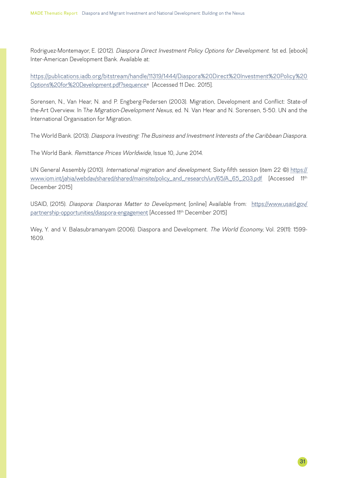Rodriguez-Montemayor, E. (2012). *Diaspora Direct Investment Policy Options for Development*. 1st ed. [ebook] Inter-American Development Bank. Available at:

[https://publications.iadb.org/bitstream/handle/11319/1444/Diaspora%20Direct%20Investment%20Policy%20](https://publications.iadb.org/bitstream/handle/11319/1444/Diaspora%20Direct%20Investment%20Policy%20Options%20for%20Development.pdf?sequence) [Options%20for%20Development.pdf?sequence](https://publications.iadb.org/bitstream/handle/11319/1444/Diaspora%20Direct%20Investment%20Policy%20Options%20for%20Development.pdf?sequence)= [Accessed 11 Dec. 2015].

Sorensen, N., Van Hear, N. and P. Engberg-Pedersen (2003). Migration, Development and Conflict: State-of the-Art Overview. In T*he Migration-Development Nexus,* ed. N. Van Hear and N. Sorensen, 5-50. UN and the International Organisation for Migration.

The World Bank. (2013). *Diaspora Investing: The Business and Investment Interests of the Caribbean Diaspora.* 

The World Bank. *Remittance Prices Worldwide*, Issue 10, June 2014.

UN General Assembly (2010). *International migration and development*, Sixty-fifth session (item 22 ©) [https://](https://www.iom.int/jahia/webdav/shared/shared/mainsite/policy_and_research/un/65/A_65_203.pdf) [www.iom.int/jahia/webdav/shared/shared/mainsite/policy\\_and\\_research/un/65/A\\_65\\_203.pdf](https://www.iom.int/jahia/webdav/shared/shared/mainsite/policy_and_research/un/65/A_65_203.pdf) [Accessed 11th December 2015]

USAID, (2015). *Diaspora: Diasporas Matter to Development,* [online] Available from: [https://www.usaid.gov/](https://www.usaid.gov/partnership-opportunities/diaspora-engagement) [partnership-opportunities/diaspora-engagement](https://www.usaid.gov/partnership-opportunities/diaspora-engagement) [Accessed 11<sup>th</sup> December 2015]

Wey, Y. and V. Balasubramanyam (2006). Diaspora and Development. *The World Economy*, Vol. 29(11): 1599- 1609.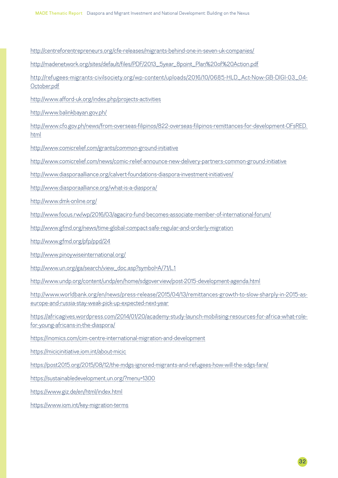<http://centreforentrepreneurs.org/cfe-releases/migrants-behind-one-in-seven-uk-companies/>

[http://madenetwork.org/sites/default/files/PDF/2013\\_5year\\_8point\\_Plan%20of%20Action.pdf](http://madenetwork.org/sites/default/files/PDF/2013_5year_8point_Plan%20of%20Action.pdf)

[http://refugees-migrants-civilsociety.org/wp-content/uploads/2016/10/0685-HLD\\_Act-Now-GB-DIGI-03\\_04-](http://refugees-migrants-civilsociety.org/wp-content/uploads/2016/10/0685-HLD_Act-Now-GB-DIGI-03_04-October.pdf) [October.pdf](http://refugees-migrants-civilsociety.org/wp-content/uploads/2016/10/0685-HLD_Act-Now-GB-DIGI-03_04-October.pdf)

<http://www.afford-uk.org/index.php/projects-activities>

<http://www.balinkbayan.gov.ph/>

[http://www.cfo.gov.ph/news/from-overseas-filipinos/822-overseas-filipinos-remittances-for-development-OFsRED.](http://www.cfo.gov.ph/news/from-overseas-filipinos/822-overseas-filipinos-remittances-for-development-ofs-red.html) [html](http://www.cfo.gov.ph/news/from-overseas-filipinos/822-overseas-filipinos-remittances-for-development-ofs-red.html)

<http://www.comicrelief.com/grants/common-ground-initiative>

<http://www.comicrelief.com/news/comic-relief-announce-new-delivery-partners-common-ground-initiative>

<http://www.diasporaalliance.org/calvert-foundations-diaspora-investment-initiatives/>

<http://www.diasporaalliance.org/what-is-a-diaspora/>

<http://www.dmk-online.org/>

<http://www.focus.rw/wp/2016/03/agaciro-fund-becomes-associate-member-of-international-forum/>

<http://www.gfmd.org/news/time-global-compact-safe-regular-and-orderly-migration>

<http://www.gfmd.org/pfp/ppd/24>

<http://www.pinoywiseinternational.org/>

[http://www.un.org/ga/search/view\\_doc.asp?symbol=A/71/L.1](http://www.un.org/ga/search/view_doc.asp?symbol=A/71/L.1)

<http://www.undp.org/content/undp/en/home/sdgoverview/post-2015-development-agenda.html>

[http://www.worldbank.org/en/news/press-release/2015/04/13/remittances-growth-to-slow-sharply-in-2015-as](http://www.worldbank.org/en/news/press-release/2015/04/13/remittances-growth-to-slow-sharply-in-2015-as-europe-and-russia-stay-weak-pick-up-expected-next-year)[europe-and-russia-stay-weak-pick-up-expected-next-year](http://www.worldbank.org/en/news/press-release/2015/04/13/remittances-growth-to-slow-sharply-in-2015-as-europe-and-russia-stay-weak-pick-up-expected-next-year)

[https://africagives.wordpress.com/2014/01/20/academy-study-launch-mobilising-resources-for-africa-what-role](https://africagives.wordpress.com/2014/01/20/academy-study-launch-mobilising-resources-for-africa-what-role-for-young-africans-in-the-diaspora/)[for-young-africans-in-the-diaspora/](https://africagives.wordpress.com/2014/01/20/academy-study-launch-mobilising-resources-for-africa-what-role-for-young-africans-in-the-diaspora/)

<https://inomics.com/cim-centre-international-migration-and-development>

<https://micicinitiative.iom.int/about-micic>

<https://post2015.org/2015/08/12/the-mdgs-ignored-migrants-and-refugees-how-will-the-sdgs-fare/>

<https://sustainabledevelopment.un.org/?menu=1300>

<https://www.giz.de/en/html/index.html>

<https://www.iom.int/key-migration-terms>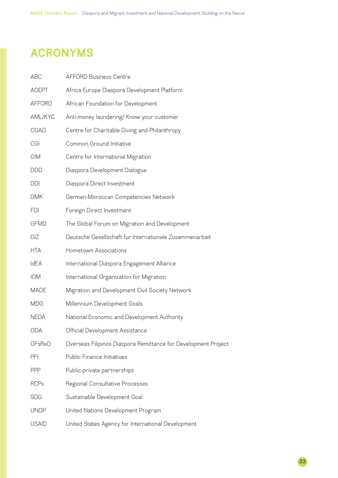### <span id="page-32-0"></span>**ACRONYMS**

| <b>ABC</b>    | <b>AFFORD Business Centre</b>                                  |
|---------------|----------------------------------------------------------------|
| <b>ADEPT</b>  | Africa-Europe Diaspora Development Platform                    |
| <b>AFFORD</b> | African Foundation for Development                             |
| AML/KYC       | Anti-money laundering/ Know your customer                      |
| <b>CGAD</b>   | Centre for Charitable Giving and Philanthropy                  |
| CGI           | Common Ground Initiative                                       |
| <b>CIM</b>    | Centre for International Migration                             |
| <b>DDD</b>    | Diaspora Development Dialogue                                  |
| <b>DDI</b>    | Diaspora Direct Investment                                     |
| <b>DMK</b>    | German-Moroccan Competencies Network                           |
| <b>FDI</b>    | Foreign Direct Investment                                      |
| <b>GFMD</b>   | The Global Forum on Migration and Development                  |
| GIZ           | Deutsche Gesellschaft fur Internationale Zusammenarbait        |
| <b>HTA</b>    | Hometown Associations                                          |
| <b>IdEA</b>   | International Diaspora Engagement Alliance                     |
| <b>IOM</b>    | International Organization for Migration                       |
| <b>MADE</b>   | Migration and Development Civil Society Network                |
| <b>MDG</b>    | Millennium Development Goals                                   |
| <b>NEDA</b>   | National Economic and Development Authority                    |
| <b>ODA</b>    | Official Development Assistance                                |
| <b>OFsReD</b> | Overseas Filipinos Diaspora Remittance for Development Project |
| PFI           | Public Finance Initiatives                                     |
| <b>PPP</b>    | Public-private partnerships                                    |
| <b>RCPs</b>   | Regional Consultative Processes                                |
| <b>SDG</b>    | Sustainable Development Goal                                   |
| <b>UNDP</b>   | United Nations Development Program                             |
| <b>USAID</b>  | United States Agency for International Development             |